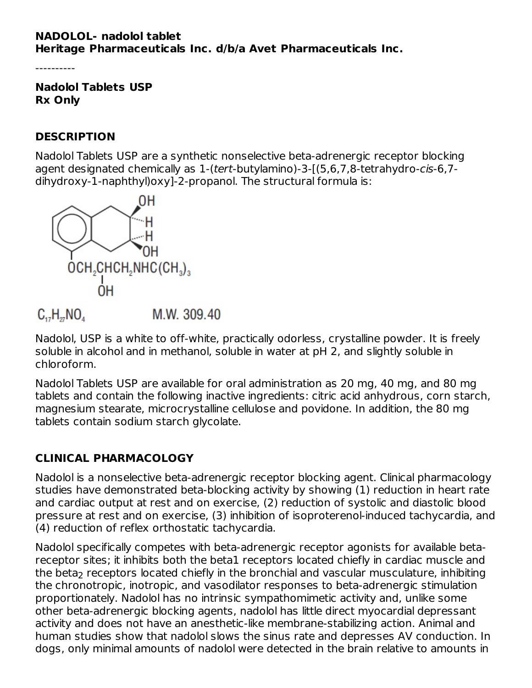### **NADOLOL- nadolol tablet Heritage Pharmaceuticals Inc. d/b/a Avet Pharmaceuticals Inc.**

----------

**Nadolol Tablets USP Rx Only**

### **DESCRIPTION**

Nadolol Tablets USP are a synthetic nonselective beta-adrenergic receptor blocking agent designated chemically as 1-(tert-butylamino)-3-[(5,6,7,8-tetrahydro-cis-6,7 dihydroxy-1-naphthyl)oxy]-2-propanol. The structural formula is:



 $C_{17}H_{27}NO_4$ M.W. 309.40

Nadolol, USP is a white to off-white, practically odorless, crystalline powder. It is freely soluble in alcohol and in methanol, soluble in water at pH 2, and slightly soluble in chloroform.

Nadolol Tablets USP are available for oral administration as 20 mg, 40 mg, and 80 mg tablets and contain the following inactive ingredients: citric acid anhydrous, corn starch, magnesium stearate, microcrystalline cellulose and povidone. In addition, the 80 mg tablets contain sodium starch glycolate.

# **CLINICAL PHARMACOLOGY**

Nadolol is a nonselective beta-adrenergic receptor blocking agent. Clinical pharmacology studies have demonstrated beta-blocking activity by showing (1) reduction in heart rate and cardiac output at rest and on exercise, (2) reduction of systolic and diastolic blood pressure at rest and on exercise, (3) inhibition of isoproterenol-induced tachycardia, and (4) reduction of reflex orthostatic tachycardia.

Nadolol specifically competes with beta-adrenergic receptor agonists for available betareceptor sites; it inhibits both the beta1 receptors located chiefly in cardiac muscle and the beta $_2$  receptors located chiefly in the bronchial and vascular musculature, inhibiting the chronotropic, inotropic, and vasodilator responses to beta-adrenergic stimulation proportionately. Nadolol has no intrinsic sympathomimetic activity and, unlike some other beta-adrenergic blocking agents, nadolol has little direct myocardial depressant activity and does not have an anesthetic-like membrane-stabilizing action. Animal and human studies show that nadolol slows the sinus rate and depresses AV conduction. In dogs, only minimal amounts of nadolol were detected in the brain relative to amounts in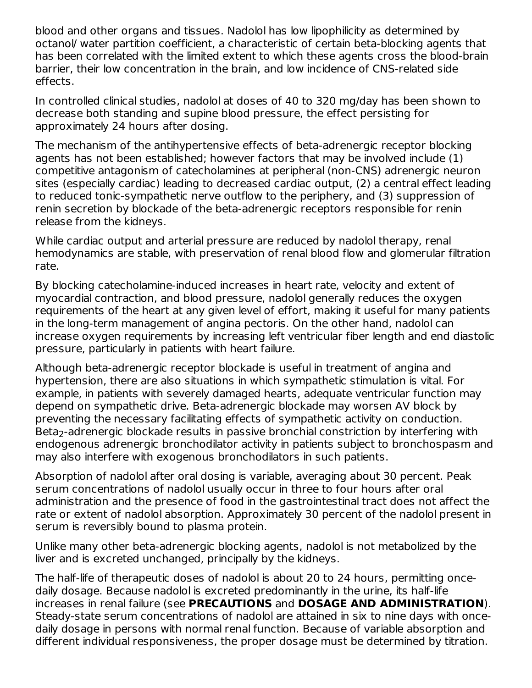blood and other organs and tissues. Nadolol has low lipophilicity as determined by octanol/ water partition coefficient, a characteristic of certain beta-blocking agents that has been correlated with the limited extent to which these agents cross the blood-brain barrier, their low concentration in the brain, and low incidence of CNS-related side effects.

In controlled clinical studies, nadolol at doses of 40 to 320 mg/day has been shown to decrease both standing and supine blood pressure, the effect persisting for approximately 24 hours after dosing.

The mechanism of the antihypertensive effects of beta-adrenergic receptor blocking agents has not been established; however factors that may be involved include (1) competitive antagonism of catecholamines at peripheral (non-CNS) adrenergic neuron sites (especially cardiac) leading to decreased cardiac output, (2) a central effect leading to reduced tonic-sympathetic nerve outflow to the periphery, and (3) suppression of renin secretion by blockade of the beta-adrenergic receptors responsible for renin release from the kidneys.

While cardiac output and arterial pressure are reduced by nadolol therapy, renal hemodynamics are stable, with preservation of renal blood flow and glomerular filtration rate.

By blocking catecholamine-induced increases in heart rate, velocity and extent of myocardial contraction, and blood pressure, nadolol generally reduces the oxygen requirements of the heart at any given level of effort, making it useful for many patients in the long-term management of angina pectoris. On the other hand, nadolol can increase oxygen requirements by increasing left ventricular fiber length and end diastolic pressure, particularly in patients with heart failure.

Although beta-adrenergic receptor blockade is useful in treatment of angina and hypertension, there are also situations in which sympathetic stimulation is vital. For example, in patients with severely damaged hearts, adequate ventricular function may depend on sympathetic drive. Beta-adrenergic blockade may worsen AV block by preventing the necessary facilitating effects of sympathetic activity on conduction. Beta<sub>2</sub>-adrenergic blockade results in passive bronchial constriction by interfering with endogenous adrenergic bronchodilator activity in patients subject to bronchospasm and may also interfere with exogenous bronchodilators in such patients.

Absorption of nadolol after oral dosing is variable, averaging about 30 percent. Peak serum concentrations of nadolol usually occur in three to four hours after oral administration and the presence of food in the gastrointestinal tract does not affect the rate or extent of nadolol absorption. Approximately 30 percent of the nadolol present in serum is reversibly bound to plasma protein.

Unlike many other beta-adrenergic blocking agents, nadolol is not metabolized by the liver and is excreted unchanged, principally by the kidneys.

The half-life of therapeutic doses of nadolol is about 20 to 24 hours, permitting oncedaily dosage. Because nadolol is excreted predominantly in the urine, its half-life increases in renal failure (see **PRECAUTIONS** and **DOSAGE AND ADMINISTRATION**). Steady-state serum concentrations of nadolol are attained in six to nine days with oncedaily dosage in persons with normal renal function. Because of variable absorption and different individual responsiveness, the proper dosage must be determined by titration.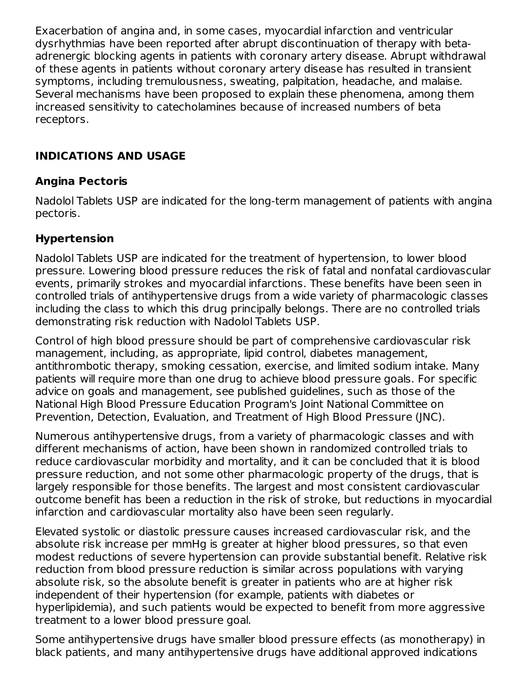Exacerbation of angina and, in some cases, myocardial infarction and ventricular dysrhythmias have been reported after abrupt discontinuation of therapy with betaadrenergic blocking agents in patients with coronary artery disease. Abrupt withdrawal of these agents in patients without coronary artery disease has resulted in transient symptoms, including tremulousness, sweating, palpitation, headache, and malaise. Several mechanisms have been proposed to explain these phenomena, among them increased sensitivity to catecholamines because of increased numbers of beta receptors.

## **INDICATIONS AND USAGE**

## **Angina Pectoris**

Nadolol Tablets USP are indicated for the long-term management of patients with angina pectoris.

### **Hypertension**

Nadolol Tablets USP are indicated for the treatment of hypertension, to lower blood pressure. Lowering blood pressure reduces the risk of fatal and nonfatal cardiovascular events, primarily strokes and myocardial infarctions. These benefits have been seen in controlled trials of antihypertensive drugs from a wide variety of pharmacologic classes including the class to which this drug principally belongs. There are no controlled trials demonstrating risk reduction with Nadolol Tablets USP.

Control of high blood pressure should be part of comprehensive cardiovascular risk management, including, as appropriate, lipid control, diabetes management, antithrombotic therapy, smoking cessation, exercise, and limited sodium intake. Many patients will require more than one drug to achieve blood pressure goals. For specific advice on goals and management, see published guidelines, such as those of the National High Blood Pressure Education Program's Joint National Committee on Prevention, Detection, Evaluation, and Treatment of High Blood Pressure (JNC).

Numerous antihypertensive drugs, from a variety of pharmacologic classes and with different mechanisms of action, have been shown in randomized controlled trials to reduce cardiovascular morbidity and mortality, and it can be concluded that it is blood pressure reduction, and not some other pharmacologic property of the drugs, that is largely responsible for those benefits. The largest and most consistent cardiovascular outcome benefit has been a reduction in the risk of stroke, but reductions in myocardial infarction and cardiovascular mortality also have been seen regularly.

Elevated systolic or diastolic pressure causes increased cardiovascular risk, and the absolute risk increase per mmHg is greater at higher blood pressures, so that even modest reductions of severe hypertension can provide substantial benefit. Relative risk reduction from blood pressure reduction is similar across populations with varying absolute risk, so the absolute benefit is greater in patients who are at higher risk independent of their hypertension (for example, patients with diabetes or hyperlipidemia), and such patients would be expected to benefit from more aggressive treatment to a lower blood pressure goal.

Some antihypertensive drugs have smaller blood pressure effects (as monotherapy) in black patients, and many antihypertensive drugs have additional approved indications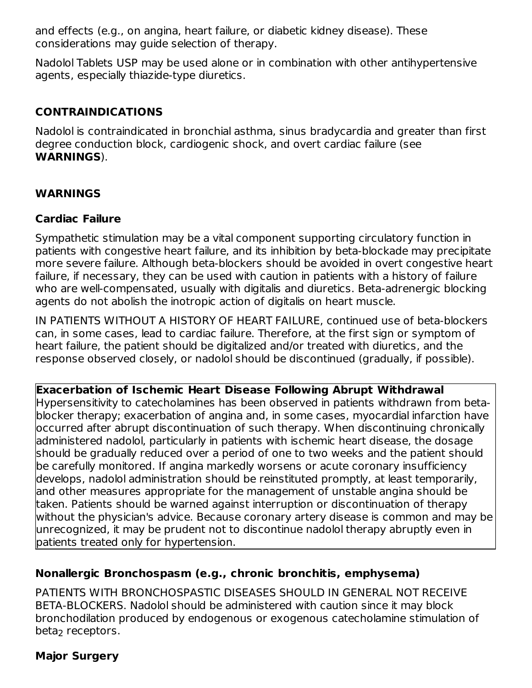and effects (e.g., on angina, heart failure, or diabetic kidney disease). These considerations may guide selection of therapy.

Nadolol Tablets USP may be used alone or in combination with other antihypertensive agents, especially thiazide-type diuretics.

## **CONTRAINDICATIONS**

Nadolol is contraindicated in bronchial asthma, sinus bradycardia and greater than first degree conduction block, cardiogenic shock, and overt cardiac failure (see **WARNINGS**).

## **WARNINGS**

## **Cardiac Failure**

Sympathetic stimulation may be a vital component supporting circulatory function in patients with congestive heart failure, and its inhibition by beta-blockade may precipitate more severe failure. Although beta-blockers should be avoided in overt congestive heart failure, if necessary, they can be used with caution in patients with a history of failure who are well-compensated, usually with digitalis and diuretics. Beta-adrenergic blocking agents do not abolish the inotropic action of digitalis on heart muscle.

IN PATIENTS WITHOUT A HISTORY OF HEART FAILURE, continued use of beta-blockers can, in some cases, lead to cardiac failure. Therefore, at the first sign or symptom of heart failure, the patient should be digitalized and/or treated with diuretics, and the response observed closely, or nadolol should be discontinued (gradually, if possible).

## **Exacerbation of Ischemic Heart Disease Following Abrupt Withdrawal**

Hypersensitivity to catecholamines has been observed in patients withdrawn from betablocker therapy; exacerbation of angina and, in some cases, myocardial infarction have occurred after abrupt discontinuation of such therapy. When discontinuing chronically administered nadolol, particularly in patients with ischemic heart disease, the dosage should be gradually reduced over a period of one to two weeks and the patient should be carefully monitored. If angina markedly worsens or acute coronary insufficiency develops, nadolol administration should be reinstituted promptly, at least temporarily, and other measures appropriate for the management of unstable angina should be taken. Patients should be warned against interruption or discontinuation of therapy without the physician's advice. Because coronary artery disease is common and may be unrecognized, it may be prudent not to discontinue nadolol therapy abruptly even in patients treated only for hypertension.

# **Nonallergic Bronchospasm (e.g., chronic bronchitis, emphysema)**

PATIENTS WITH BRONCHOSPASTIC DISEASES SHOULD IN GENERAL NOT RECEIVE BETA-BLOCKERS. Nadolol should be administered with caution since it may block bronchodilation produced by endogenous or exogenous catecholamine stimulation of beta<sub>2</sub> receptors.

## **Major Surgery**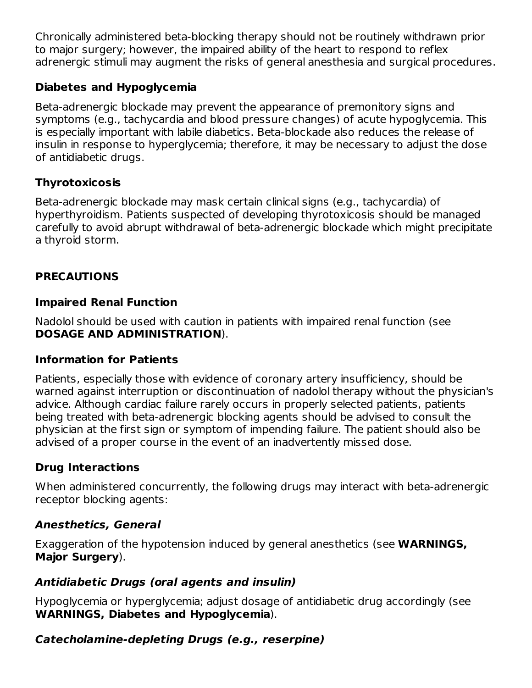Chronically administered beta-blocking therapy should not be routinely withdrawn prior to major surgery; however, the impaired ability of the heart to respond to reflex adrenergic stimuli may augment the risks of general anesthesia and surgical procedures.

## **Diabetes and Hypoglycemia**

Beta-adrenergic blockade may prevent the appearance of premonitory signs and symptoms (e.g., tachycardia and blood pressure changes) of acute hypoglycemia. This is especially important with labile diabetics. Beta-blockade also reduces the release of insulin in response to hyperglycemia; therefore, it may be necessary to adjust the dose of antidiabetic drugs.

## **Thyrotoxicosis**

Beta-adrenergic blockade may mask certain clinical signs (e.g., tachycardia) of hyperthyroidism. Patients suspected of developing thyrotoxicosis should be managed carefully to avoid abrupt withdrawal of beta-adrenergic blockade which might precipitate a thyroid storm.

## **PRECAUTIONS**

### **Impaired Renal Function**

Nadolol should be used with caution in patients with impaired renal function (see **DOSAGE AND ADMINISTRATION**).

#### **Information for Patients**

Patients, especially those with evidence of coronary artery insufficiency, should be warned against interruption or discontinuation of nadolol therapy without the physician's advice. Although cardiac failure rarely occurs in properly selected patients, patients being treated with beta-adrenergic blocking agents should be advised to consult the physician at the first sign or symptom of impending failure. The patient should also be advised of a proper course in the event of an inadvertently missed dose.

## **Drug Interactions**

When administered concurrently, the following drugs may interact with beta-adrenergic receptor blocking agents:

## **Anesthetics, General**

Exaggeration of the hypotension induced by general anesthetics (see **WARNINGS, Major Surgery**).

# **Antidiabetic Drugs (oral agents and insulin)**

Hypoglycemia or hyperglycemia; adjust dosage of antidiabetic drug accordingly (see **WARNINGS, Diabetes and Hypoglycemia**).

# **Catecholamine-depleting Drugs (e.g., reserpine)**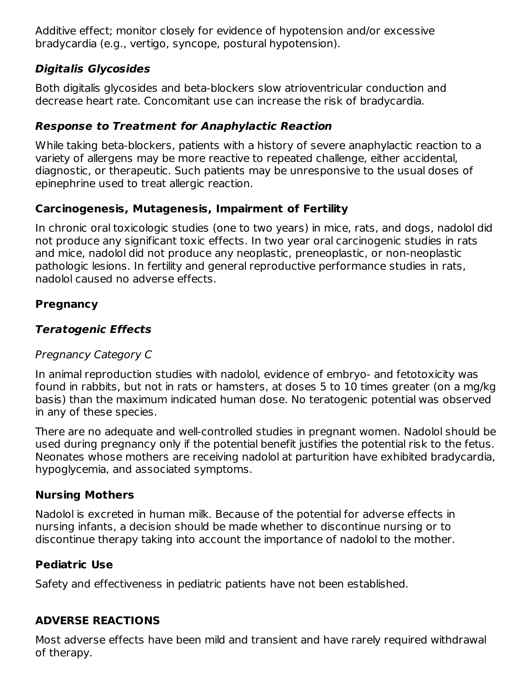Additive effect; monitor closely for evidence of hypotension and/or excessive bradycardia (e.g., vertigo, syncope, postural hypotension).

## **Digitalis Glycosides**

Both digitalis glycosides and beta-blockers slow atrioventricular conduction and decrease heart rate. Concomitant use can increase the risk of bradycardia.

## **Response to Treatment for Anaphylactic Reaction**

While taking beta-blockers, patients with a history of severe anaphylactic reaction to a variety of allergens may be more reactive to repeated challenge, either accidental, diagnostic, or therapeutic. Such patients may be unresponsive to the usual doses of epinephrine used to treat allergic reaction.

## **Carcinogenesis, Mutagenesis, Impairment of Fertility**

In chronic oral toxicologic studies (one to two years) in mice, rats, and dogs, nadolol did not produce any significant toxic effects. In two year oral carcinogenic studies in rats and mice, nadolol did not produce any neoplastic, preneoplastic, or non-neoplastic pathologic lesions. In fertility and general reproductive performance studies in rats, nadolol caused no adverse effects.

# **Pregnancy**

# **Teratogenic Effects**

## Pregnancy Category C

In animal reproduction studies with nadolol, evidence of embryo- and fetotoxicity was found in rabbits, but not in rats or hamsters, at doses 5 to 10 times greater (on a mg/kg basis) than the maximum indicated human dose. No teratogenic potential was observed in any of these species.

There are no adequate and well-controlled studies in pregnant women. Nadolol should be used during pregnancy only if the potential benefit justifies the potential risk to the fetus. Neonates whose mothers are receiving nadolol at parturition have exhibited bradycardia, hypoglycemia, and associated symptoms.

## **Nursing Mothers**

Nadolol is excreted in human milk. Because of the potential for adverse effects in nursing infants, a decision should be made whether to discontinue nursing or to discontinue therapy taking into account the importance of nadolol to the mother.

## **Pediatric Use**

Safety and effectiveness in pediatric patients have not been established.

# **ADVERSE REACTIONS**

Most adverse effects have been mild and transient and have rarely required withdrawal of therapy.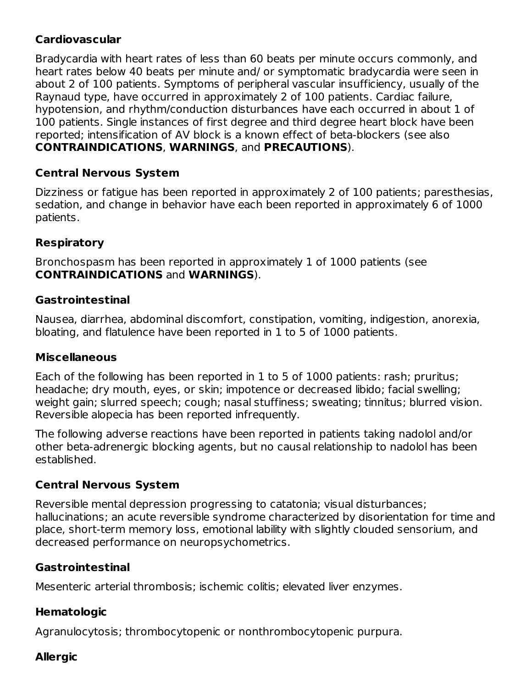## **Cardiovascular**

Bradycardia with heart rates of less than 60 beats per minute occurs commonly, and heart rates below 40 beats per minute and/ or symptomatic bradycardia were seen in about 2 of 100 patients. Symptoms of peripheral vascular insufficiency, usually of the Raynaud type, have occurred in approximately 2 of 100 patients. Cardiac failure, hypotension, and rhythm/conduction disturbances have each occurred in about 1 of 100 patients. Single instances of first degree and third degree heart block have been reported; intensification of AV block is a known effect of beta-blockers (see also **CONTRAINDICATIONS**, **WARNINGS**, and **PRECAUTIONS**).

### **Central Nervous System**

Dizziness or fatigue has been reported in approximately 2 of 100 patients; paresthesias, sedation, and change in behavior have each been reported in approximately 6 of 1000 patients.

### **Respiratory**

Bronchospasm has been reported in approximately 1 of 1000 patients (see **CONTRAINDICATIONS** and **WARNINGS**).

#### **Gastrointestinal**

Nausea, diarrhea, abdominal discomfort, constipation, vomiting, indigestion, anorexia, bloating, and flatulence have been reported in 1 to 5 of 1000 patients.

#### **Miscellaneous**

Each of the following has been reported in 1 to 5 of 1000 patients: rash; pruritus; headache; dry mouth, eyes, or skin; impotence or decreased libido; facial swelling; weight gain; slurred speech; cough; nasal stuffiness; sweating; tinnitus; blurred vision. Reversible alopecia has been reported infrequently.

The following adverse reactions have been reported in patients taking nadolol and/or other beta-adrenergic blocking agents, but no causal relationship to nadolol has been established.

#### **Central Nervous System**

Reversible mental depression progressing to catatonia; visual disturbances; hallucinations; an acute reversible syndrome characterized by disorientation for time and place, short-term memory loss, emotional lability with slightly clouded sensorium, and decreased performance on neuropsychometrics.

#### **Gastrointestinal**

Mesenteric arterial thrombosis; ischemic colitis; elevated liver enzymes.

#### **Hematologic**

Agranulocytosis; thrombocytopenic or nonthrombocytopenic purpura.

## **Allergic**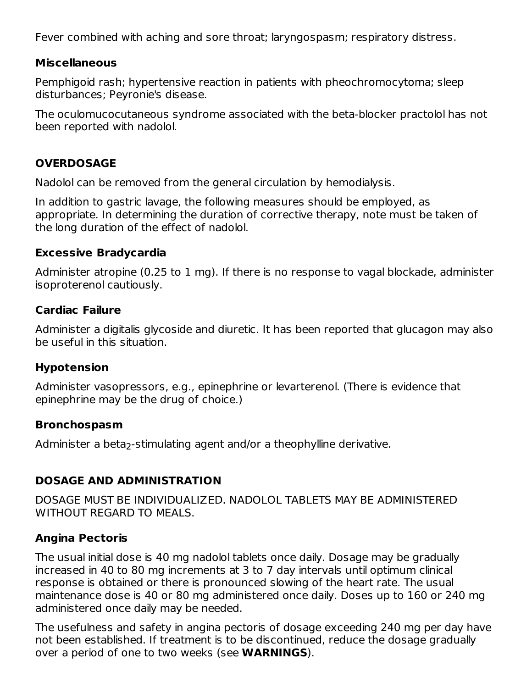Fever combined with aching and sore throat; laryngospasm; respiratory distress.

#### **Miscellaneous**

Pemphigoid rash; hypertensive reaction in patients with pheochromocytoma; sleep disturbances; Peyronie's disease.

The oculomucocutaneous syndrome associated with the beta-blocker practolol has not been reported with nadolol.

#### **OVERDOSAGE**

Nadolol can be removed from the general circulation by hemodialysis.

In addition to gastric lavage, the following measures should be employed, as appropriate. In determining the duration of corrective therapy, note must be taken of the long duration of the effect of nadolol.

#### **Excessive Bradycardia**

Administer atropine (0.25 to 1 mg). If there is no response to vagal blockade, administer isoproterenol cautiously.

#### **Cardiac Failure**

Administer a digitalis glycoside and diuretic. It has been reported that glucagon may also be useful in this situation.

#### **Hypotension**

Administer vasopressors, e.g., epinephrine or levarterenol. (There is evidence that epinephrine may be the drug of choice.)

#### **Bronchospasm**

Administer a beta<sub>2</sub>-stimulating agent and/or a theophylline derivative.

#### **DOSAGE AND ADMINISTRATION**

DOSAGE MUST BE INDIVIDUALIZED. NADOLOL TABLETS MAY BE ADMINISTERED WITHOUT REGARD TO MEALS.

#### **Angina Pectoris**

The usual initial dose is 40 mg nadolol tablets once daily. Dosage may be gradually increased in 40 to 80 mg increments at 3 to 7 day intervals until optimum clinical response is obtained or there is pronounced slowing of the heart rate. The usual maintenance dose is 40 or 80 mg administered once daily. Doses up to 160 or 240 mg administered once daily may be needed.

The usefulness and safety in angina pectoris of dosage exceeding 240 mg per day have not been established. If treatment is to be discontinued, reduce the dosage gradually over a period of one to two weeks (see **WARNINGS**).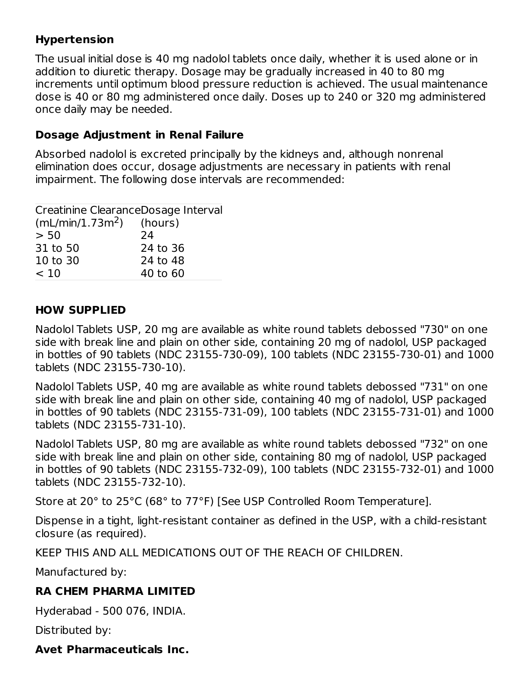## **Hypertension**

The usual initial dose is 40 mg nadolol tablets once daily, whether it is used alone or in addition to diuretic therapy. Dosage may be gradually increased in 40 to 80 mg increments until optimum blood pressure reduction is achieved. The usual maintenance dose is 40 or 80 mg administered once daily. Doses up to 240 or 320 mg administered once daily may be needed.

#### **Dosage Adjustment in Renal Failure**

Absorbed nadolol is excreted principally by the kidneys and, although nonrenal elimination does occur, dosage adjustments are necessary in patients with renal impairment. The following dose intervals are recommended:

| Creatinine ClearanceDosage Interval |          |
|-------------------------------------|----------|
| $(mL/min/1.73m2)$ (hours)           |          |
| > 50                                | 24       |
| 31 to 50                            | 24 to 36 |
| 10 to 30                            | 24 to 48 |
| < 10                                | 40 to 60 |

#### **HOW SUPPLIED**

Nadolol Tablets USP, 20 mg are available as white round tablets debossed "730" on one side with break line and plain on other side, containing 20 mg of nadolol, USP packaged in bottles of 90 tablets (NDC 23155-730-09), 100 tablets (NDC 23155-730-01) and 1000 tablets (NDC 23155-730-10).

Nadolol Tablets USP, 40 mg are available as white round tablets debossed "731" on one side with break line and plain on other side, containing 40 mg of nadolol, USP packaged in bottles of 90 tablets (NDC 23155-731-09), 100 tablets (NDC 23155-731-01) and 1000 tablets (NDC 23155-731-10).

Nadolol Tablets USP, 80 mg are available as white round tablets debossed "732" on one side with break line and plain on other side, containing 80 mg of nadolol, USP packaged in bottles of 90 tablets (NDC 23155-732-09), 100 tablets (NDC 23155-732-01) and 1000 tablets (NDC 23155-732-10).

Store at 20° to 25°C (68° to 77°F) [See USP Controlled Room Temperature].

Dispense in a tight, light-resistant container as defined in the USP, with a child-resistant closure (as required).

KEEP THIS AND ALL MEDICATIONS OUT OF THE REACH OF CHILDREN.

Manufactured by:

#### **RA CHEM PHARMA LIMITED**

Hyderabad - 500 076, INDIA.

Distributed by:

#### **Avet Pharmaceuticals Inc.**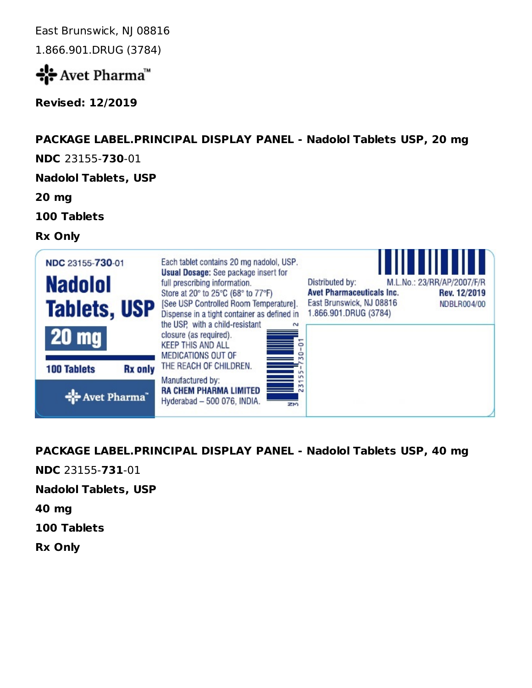East Brunswick, NJ 08816

1.866.901.DRUG (3784)



**Revised: 12/2019**

#### **PACKAGE LABEL.PRINCIPAL DISPLAY PANEL - Nadolol Tablets USP, 20 mg**

**NDC** 23155-**730**-01

**Nadolol Tablets, USP**

**20 mg**

**100 Tablets**

**Rx Only**



**PACKAGE LABEL.PRINCIPAL DISPLAY PANEL - Nadolol Tablets USP, 40 mg NDC** 23155-**731**-01

**Nadolol Tablets, USP**

**40 mg**

**100 Tablets**

**Rx Only**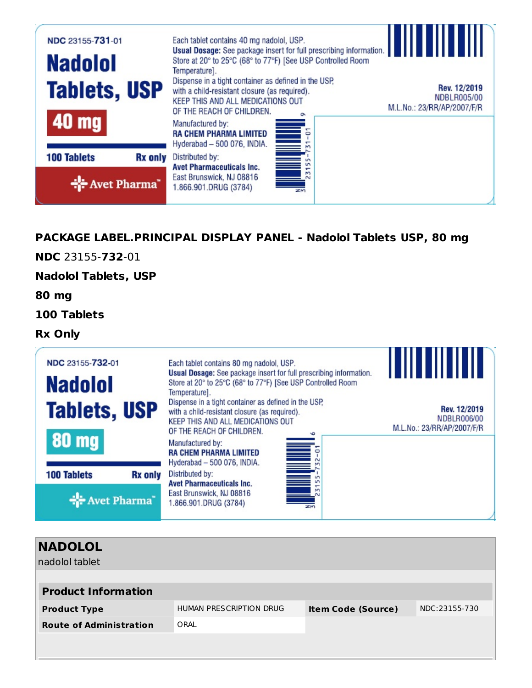| NDC 23155-731-01<br><b>Nadolol</b><br><b>Tablets, USP</b><br><b>40 mg</b> |                | Each tablet contains 40 mg nadolol, USP.<br>Usual Dosage: See package insert for full prescribing information.<br>Store at 20° to 25°C (68° to 77°F) [See USP Controlled Room<br>Temperature].<br>Dispense in a tight container as defined in the USP,<br>with a child-resistant closure (as required).<br>KEEP THIS AND ALL MEDICATIONS OUT<br>OF THE REACH OF CHILDREN.<br>Manufactured by:<br><b>RA CHEM PHARMA LIMITED</b><br>Hyderabad - 500 076, INDIA. |   | M.L.No.: 23/RR/AP/2007/F/R | Rev. 12/2019<br>NDBLR005/00 |
|---------------------------------------------------------------------------|----------------|---------------------------------------------------------------------------------------------------------------------------------------------------------------------------------------------------------------------------------------------------------------------------------------------------------------------------------------------------------------------------------------------------------------------------------------------------------------|---|----------------------------|-----------------------------|
| <b>100 Tablets</b>                                                        | <b>Rx</b> only | Distributed by:<br><b>Avet Pharmaceuticals Inc.</b>                                                                                                                                                                                                                                                                                                                                                                                                           | 章 |                            |                             |
| <b>Avet Pharma</b>                                                        |                | East Brunswick, NJ 08816<br>1.866.901.DRUG (3784)                                                                                                                                                                                                                                                                                                                                                                                                             | М |                            |                             |

### **PACKAGE LABEL.PRINCIPAL DISPLAY PANEL - Nadolol Tablets USP, 80 mg**

**NDC** 23155-**732**-01

**Nadolol Tablets, USP**

**80 mg**

**100 Tablets**

**Rx Only**



| <b>NADOLOL</b>                 |                         |                           |               |
|--------------------------------|-------------------------|---------------------------|---------------|
| nadolol tablet                 |                         |                           |               |
|                                |                         |                           |               |
| <b>Product Information</b>     |                         |                           |               |
| <b>Product Type</b>            | HUMAN PRESCRIPTION DRUG | <b>Item Code (Source)</b> | NDC:23155-730 |
| <b>Route of Administration</b> | ORAL                    |                           |               |
|                                |                         |                           |               |
|                                |                         |                           |               |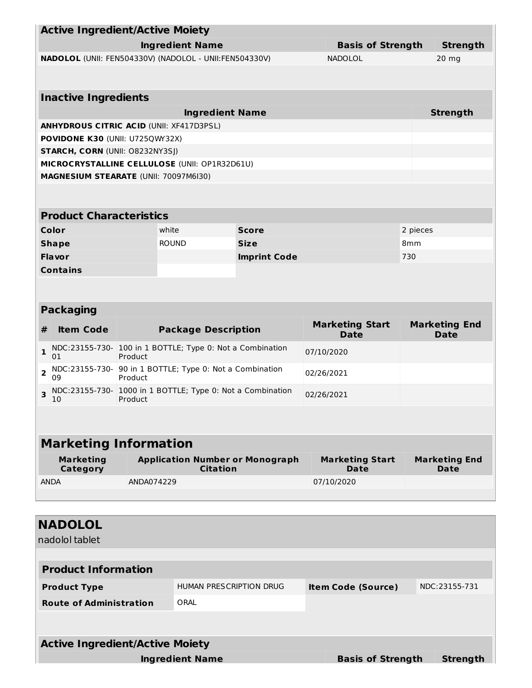|                | <b>Active Ingredient/Active Moiety</b>          |            |                                                           |                     |  |                                       |                 |                                     |
|----------------|-------------------------------------------------|------------|-----------------------------------------------------------|---------------------|--|---------------------------------------|-----------------|-------------------------------------|
|                | <b>Ingredient Name</b>                          |            |                                                           |                     |  | <b>Basis of Strength</b>              |                 | <b>Strength</b>                     |
|                |                                                 |            | NADOLOL (UNII: FEN504330V) (NADOLOL - UNII:FEN504330V)    |                     |  | <b>NADOLOL</b>                        |                 | $20 \text{ mg}$                     |
|                |                                                 |            |                                                           |                     |  |                                       |                 |                                     |
|                | <b>Inactive Ingredients</b>                     |            |                                                           |                     |  |                                       |                 |                                     |
|                |                                                 |            | <b>Ingredient Name</b>                                    |                     |  |                                       |                 | <b>Strength</b>                     |
|                | <b>ANHYDROUS CITRIC ACID (UNII: XF417D3PSL)</b> |            |                                                           |                     |  |                                       |                 |                                     |
|                | POVIDONE K30 (UNII: U725QWY32X)                 |            |                                                           |                     |  |                                       |                 |                                     |
|                | <b>STARCH, CORN (UNII: O8232NY3SJ)</b>          |            |                                                           |                     |  |                                       |                 |                                     |
|                |                                                 |            | MICROCRYSTALLINE CELLULOSE (UNII: OP1R32D61U)             |                     |  |                                       |                 |                                     |
|                | MAGNESIUM STEARATE (UNII: 70097M6I30)           |            |                                                           |                     |  |                                       |                 |                                     |
|                |                                                 |            |                                                           |                     |  |                                       |                 |                                     |
|                | <b>Product Characteristics</b>                  |            |                                                           |                     |  |                                       |                 |                                     |
|                | Color                                           |            | white                                                     | <b>Score</b>        |  |                                       | 2 pieces        |                                     |
|                | <b>Shape</b>                                    |            | <b>ROUND</b>                                              | <b>Size</b>         |  |                                       | 8 <sub>mm</sub> |                                     |
|                | Flavor                                          |            |                                                           | <b>Imprint Code</b> |  |                                       | 730             |                                     |
|                | <b>Contains</b>                                 |            |                                                           |                     |  |                                       |                 |                                     |
|                |                                                 |            |                                                           |                     |  |                                       |                 |                                     |
|                | <b>Packaging</b>                                |            |                                                           |                     |  |                                       |                 |                                     |
| #              | <b>Item Code</b>                                |            | <b>Package Description</b>                                |                     |  | <b>Marketing Start</b><br><b>Date</b> |                 | <b>Marketing End</b><br><b>Date</b> |
| 1              | 01                                              | Product    | NDC:23155-730- 100 in 1 BOTTLE; Type 0: Not a Combination |                     |  | 07/10/2020                            |                 |                                     |
| $\overline{2}$ | NDC:23155-730-<br>09                            | Product    | 90 in 1 BOTTLE; Type 0: Not a Combination                 |                     |  | 02/26/2021                            |                 |                                     |
| 3              | NDC:23155-730-<br>10                            | Product    | 1000 in 1 BOTTLE; Type 0: Not a Combination               |                     |  | 02/26/2021                            |                 |                                     |
|                |                                                 |            |                                                           |                     |  |                                       |                 |                                     |
|                | <b>Marketing Information</b>                    |            |                                                           |                     |  |                                       |                 |                                     |
|                | <b>Marketing</b><br>Category                    |            | <b>Application Number or Monograph</b><br><b>Citation</b> |                     |  | <b>Marketing Start</b><br>Date        |                 | <b>Marketing End</b><br>Date        |
|                | <b>ANDA</b>                                     | ANDA074229 |                                                           |                     |  | 07/10/2020                            |                 |                                     |
|                |                                                 |            |                                                           |                     |  |                                       |                 |                                     |
|                |                                                 |            |                                                           |                     |  |                                       |                 |                                     |
| <b>NADOLOL</b> |                                                 |            |                                                           |                     |  |                                       |                 |                                     |
|                | nadolol tablet                                  |            |                                                           |                     |  |                                       |                 |                                     |
|                |                                                 |            |                                                           |                     |  |                                       |                 |                                     |
|                | <b>Product Information</b>                      |            |                                                           |                     |  |                                       |                 |                                     |
|                | <b>Product Type</b>                             |            | HUMAN PRESCRIPTION DRUG                                   |                     |  | <b>Item Code (Source)</b>             |                 | NDC:23155-731                       |
|                | <b>Route of Administration</b>                  |            | ORAL                                                      |                     |  |                                       |                 |                                     |
|                |                                                 |            |                                                           |                     |  |                                       |                 |                                     |

| <b>Active Ingredient/Active Moiety</b> |                          |                 |  |  |  |  |
|----------------------------------------|--------------------------|-----------------|--|--|--|--|
| <b>Ingredient Name</b>                 | <b>Basis of Strength</b> | <b>Strength</b> |  |  |  |  |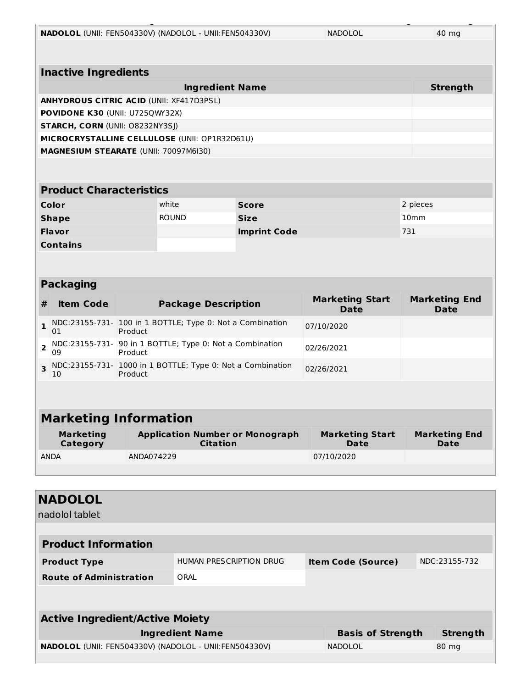|  | <b>NADOLOL</b> (UNII: FEN504330V) (NADOLOL - UNII:FEN504330V) | NADOLOL | 40 ma |
|--|---------------------------------------------------------------|---------|-------|
|--|---------------------------------------------------------------|---------|-------|

**Ingredient Name Basis of Strength Strength**

| <b>Inactive Ingredients</b>                     |                 |                     |                  |  |  |  |  |  |
|-------------------------------------------------|-----------------|---------------------|------------------|--|--|--|--|--|
|                                                 | <b>Strength</b> |                     |                  |  |  |  |  |  |
| <b>ANHYDROUS CITRIC ACID (UNII: XF417D3PSL)</b> |                 |                     |                  |  |  |  |  |  |
| <b>POVIDONE K30 (UNII: U725QWY32X)</b>          |                 |                     |                  |  |  |  |  |  |
| <b>STARCH, CORN (UNII: O8232NY3SJ)</b>          |                 |                     |                  |  |  |  |  |  |
| MICROCRYSTALLINE CELLULOSE (UNII: OP1R32D61U)   |                 |                     |                  |  |  |  |  |  |
| <b>MAGNESIUM STEARATE (UNII: 70097M6I30)</b>    |                 |                     |                  |  |  |  |  |  |
|                                                 |                 |                     |                  |  |  |  |  |  |
|                                                 |                 |                     |                  |  |  |  |  |  |
| <b>Product Characteristics</b>                  |                 |                     |                  |  |  |  |  |  |
| Color                                           | white           | <b>Score</b>        | 2 pieces         |  |  |  |  |  |
| <b>Shape</b>                                    | <b>ROUND</b>    | <b>Size</b>         | 10 <sub>mm</sub> |  |  |  |  |  |
| <b>Flavor</b>                                   |                 | <b>Imprint Code</b> | 731              |  |  |  |  |  |
| <b>Contains</b>                                 |                 |                     |                  |  |  |  |  |  |
|                                                 |                 |                     |                  |  |  |  |  |  |

## **Packaging**

| # | <b>Item Code</b> | <b>Package Description</b>                                              | <b>Marketing Start</b><br>Date | <b>Marketing End</b><br>Date |
|---|------------------|-------------------------------------------------------------------------|--------------------------------|------------------------------|
|   | 01               | 1 NDC:23155-731- 100 in 1 BOTTLE; Type 0: Not a Combination<br>Product  | 07/10/2020                     |                              |
|   | 09               | $2$ NDC:23155-731- 90 in 1 BOTTLE; Type 0: Not a Combination<br>Product | 02/26/2021                     |                              |
|   | 10               | 3 NDC:23155-731- 1000 in 1 BOTTLE; Type 0: Not a Combination<br>Product | 02/26/2021                     |                              |

# **Marketing Information**

| Marketing   | <b>Application Number or Monograph</b> | <b>Marketing Start</b> | <b>Marketing End</b> |
|-------------|----------------------------------------|------------------------|----------------------|
| Category    | Citation                               | Date                   | Date                 |
| <b>ANDA</b> | ANDA074229                             | 07/10/2020             |                      |

| <b>NADOLOL</b><br>nadolol tablet                              |                           |                          |                 |  |  |  |  |
|---------------------------------------------------------------|---------------------------|--------------------------|-----------------|--|--|--|--|
| <b>Product Information</b>                                    |                           |                          |                 |  |  |  |  |
| <b>Product Type</b>                                           | <b>Item Code (Source)</b> | NDC:23155-732            |                 |  |  |  |  |
| <b>Route of Administration</b><br>ORAL                        |                           |                          |                 |  |  |  |  |
|                                                               |                           |                          |                 |  |  |  |  |
| <b>Active Ingredient/Active Moiety</b>                        |                           |                          |                 |  |  |  |  |
|                                                               | <b>Ingredient Name</b>    | <b>Basis of Strength</b> | <b>Strength</b> |  |  |  |  |
| <b>NADOLOL</b> (UNII: FEN504330V) (NADOLOL - UNII:FEN504330V) | <b>NADOLOL</b>            | 80 mg                    |                 |  |  |  |  |